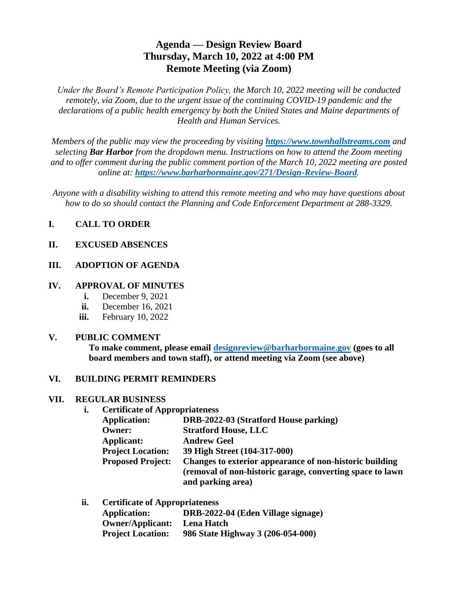# **Agenda — Design Review Board Thursday, March 10, 2022 at 4:00 PM Remote Meeting (via Zoom)**

*Under the Board's Remote Participation Policy, the March 10, 2022 meeting will be conducted remotely, via Zoom, due to the urgent issue of the continuing COVID-19 pandemic and the declarations of a public health emergency by both the United States and Maine departments of Health and Human Services.*

*Members of the public may view the proceeding by visiting [https://www.townhallstreams.com](https://www.townhallstreams.com/) and selecting Bar Harbor from the dropdown menu. Instructions on how to attend the Zoom meeting and to offer comment during the public comment portion of the March 10, 2022 meeting are posted online at: <https://www.barharbormaine.gov/271/Design-Review-Board>.*

*Anyone with a disability wishing to attend this remote meeting and who may have questions about how to do so should contact the Planning and Code Enforcement Department at 288-3329.*

### **I. CALL TO ORDER**

#### **II. EXCUSED ABSENCES**

#### **III. ADOPTION OF AGENDA**

#### **IV. APPROVAL OF MINUTES**

- **i.** December 9, 2021
- **ii.** December 16, 2021
- **iii.** February 10, 2022

#### **V. PUBLIC COMMENT**

**To make comment, please email [designreview@barharbormaine.gov](mailto:designreview@barharbormaine.gov) (goes to all board members and town staff), or attend meeting via Zoom (see above)**

#### **VI. BUILDING PERMIT REMINDERS**

#### **VII. REGULAR BUSINESS**

**i. Certificate of Appropriateness**

| DRB-2022-03 (Stratford House parking)                     |
|-----------------------------------------------------------|
| <b>Stratford House, LLC</b>                               |
| <b>Andrew Geel</b>                                        |
| 39 High Street (104-317-000)                              |
| Changes to exterior appearance of non-historic building   |
| (removal of non-historic garage, converting space to lawn |
| and parking area)                                         |
|                                                           |

| ii. | <b>Certificate of Appropriateness</b> |                                    |  |
|-----|---------------------------------------|------------------------------------|--|
|     | <b>Application:</b>                   | DRB-2022-04 (Eden Village signage) |  |
|     | <b>Owner/Applicant:</b>               | Lena Hatch                         |  |
|     | <b>Project Location:</b>              | 986 State Highway 3 (206-054-000)  |  |